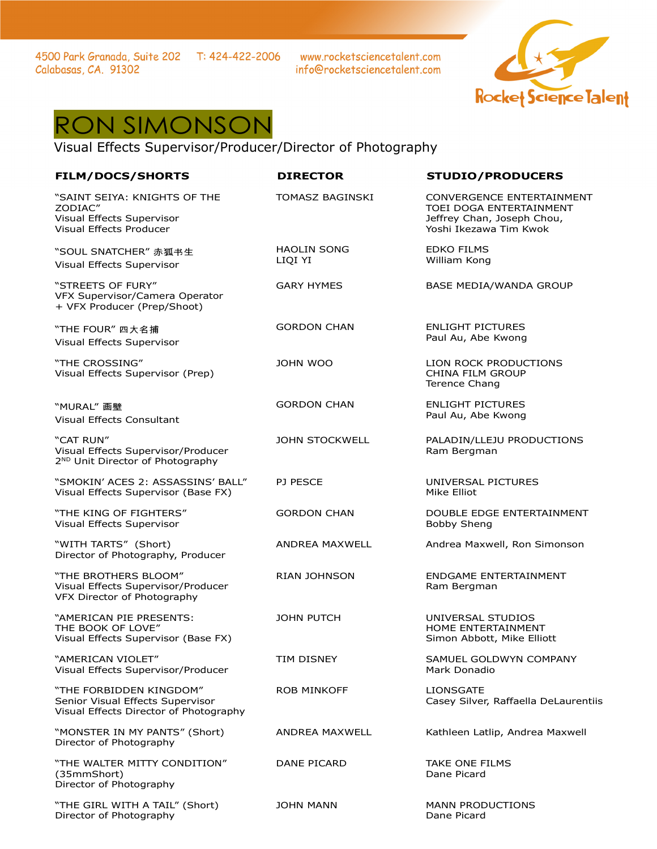4500 Park Granada, Suite 202 T: 424-422-2006 Calabasas, CA. 91302

www.rocketsciencetalent.com info@rocketsciencetalent.com



## RON SIMONSON

Visual Effects Supervisor/Producer/Director of Photography

| <b>FILM/DOCS/SHORTS</b>                                                                                | <b>DIRECTOR</b>               | <b>STUDIO/PRODUCERS</b>                                                                                      |
|--------------------------------------------------------------------------------------------------------|-------------------------------|--------------------------------------------------------------------------------------------------------------|
| "SAINT SEIYA: KNIGHTS OF THE<br>ZODIAC"<br>Visual Effects Supervisor<br><b>Visual Effects Producer</b> | TOMASZ BAGINSKI               | CONVERGENCE ENTERTAINMENT<br>TOEI DOGA ENTERTAINMENT<br>Jeffrey Chan, Joseph Chou,<br>Yoshi Ikezawa Tim Kwok |
| "SOUL SNATCHER" 赤狐书生<br>Visual Effects Supervisor                                                      | <b>HAOLIN SONG</b><br>LIQI YI | <b>EDKO FILMS</b><br>William Kong                                                                            |
| "STREETS OF FURY"<br>VFX Supervisor/Camera Operator<br>+ VFX Producer (Prep/Shoot)                     | <b>GARY HYMES</b>             | <b>BASE MEDIA/WANDA GROUP</b>                                                                                |
| "THE FOUR" 四大名捕<br>Visual Effects Supervisor                                                           | <b>GORDON CHAN</b>            | <b>ENLIGHT PICTURES</b><br>Paul Au, Abe Kwong                                                                |
| "THE CROSSING"<br>Visual Effects Supervisor (Prep)                                                     | <b>JOHN WOO</b>               | LION ROCK PRODUCTIONS<br><b>CHINA FILM GROUP</b><br>Terence Chang                                            |
| "MURAL"画壁<br><b>Visual Effects Consultant</b>                                                          | <b>GORDON CHAN</b>            | <b>ENLIGHT PICTURES</b><br>Paul Au, Abe Kwong                                                                |
| "CAT RUN"<br>Visual Effects Supervisor/Producer<br>2 <sup>ND</sup> Unit Director of Photography        | <b>JOHN STOCKWELL</b>         | PALADIN/LLEJU PRODUCTIONS<br>Ram Bergman                                                                     |
| "SMOKIN' ACES 2: ASSASSINS' BALL"<br>Visual Effects Supervisor (Base FX)                               | <b>PJ PESCE</b>               | UNIVERSAL PICTURES<br>Mike Elliot                                                                            |
| "THE KING OF FIGHTERS"<br>Visual Effects Supervisor                                                    | <b>GORDON CHAN</b>            | DOUBLE EDGE ENTERTAINMENT<br><b>Bobby Sheng</b>                                                              |
| "WITH TARTS" (Short)<br>Director of Photography, Producer                                              | ANDREA MAXWELL                | Andrea Maxwell, Ron Simonson                                                                                 |
| "THE BROTHERS BLOOM"<br>Visual Effects Supervisor/Producer<br>VFX Director of Photography              | <b>RIAN JOHNSON</b>           | ENDGAME ENTERTAINMENT<br>Ram Bergman                                                                         |
| "AMERICAN PIE PRESENTS:<br>THE BOOK OF LOVE"<br>Visual Effects Supervisor (Base FX)                    | <b>JOHN PUTCH</b>             | UNIVERSAL STUDIOS<br>HOME ENTERTAINMENT<br>Simon Abbott, Mike Elliott                                        |
| "AMERICAN VIOLET"<br>Visual Effects Supervisor/Producer                                                | TIM DISNEY                    | SAMUEL GOLDWYN COMPANY<br>Mark Donadio                                                                       |
| "THE FORBIDDEN KINGDOM"<br>Senior Visual Effects Supervisor<br>Visual Effects Director of Photography  | <b>ROB MINKOFF</b>            | <b>LIONSGATE</b><br>Casey Silver, Raffaella DeLaurentiis                                                     |
| "MONSTER IN MY PANTS" (Short)<br>Director of Photography                                               | ANDREA MAXWELL                | Kathleen Latlip, Andrea Maxwell                                                                              |
| "THE WALTER MITTY CONDITION"<br>(35mmShort)<br>Director of Photography                                 | DANE PICARD                   | <b>TAKE ONE FILMS</b><br>Dane Picard                                                                         |
| "THE GIRL WITH A TAIL" (Short)<br>Director of Photography                                              | JOHN MANN                     | <b>MANN PRODUCTIONS</b><br>Dane Picard                                                                       |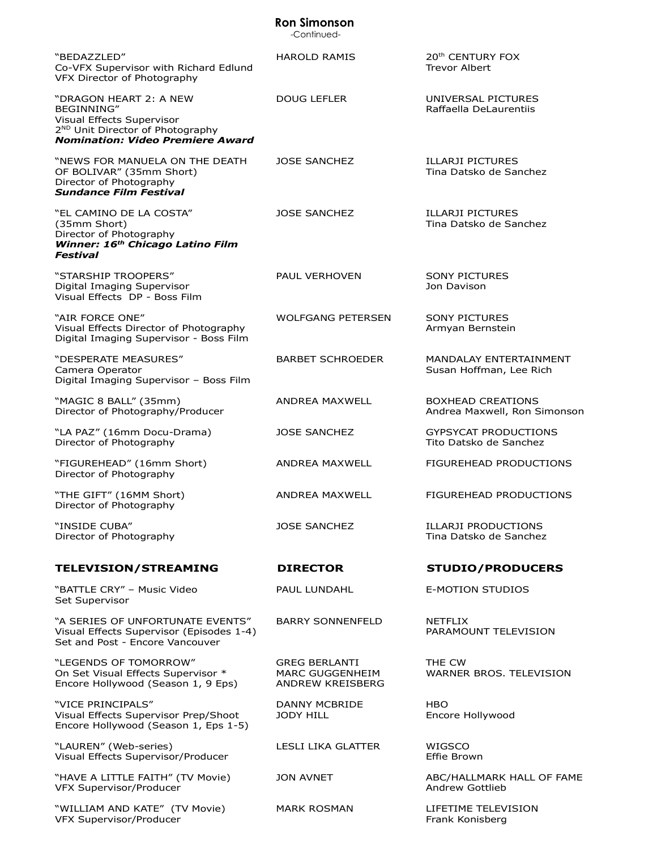|                                                                                                                                                              | <b>Ron Simonson</b><br>-Continued-                          |                                                          |
|--------------------------------------------------------------------------------------------------------------------------------------------------------------|-------------------------------------------------------------|----------------------------------------------------------|
| "BEDAZZLED"<br>Co-VFX Supervisor with Richard Edlund<br>VFX Director of Photography                                                                          | <b>HAROLD RAMIS</b>                                         | 20 <sup>th</sup> CENTURY FOX<br><b>Trevor Albert</b>     |
| "DRAGON HEART 2: A NEW<br>BEGINNING"<br>Visual Effects Supervisor<br>2 <sup>ND</sup> Unit Director of Photography<br><b>Nomination: Video Premiere Award</b> | <b>DOUG LEFLER</b>                                          | UNIVERSAL PICTURES<br>Raffaella DeLaurentiis             |
| "NEWS FOR MANUELA ON THE DEATH<br>OF BOLIVAR" (35mm Short)<br>Director of Photography<br><b>Sundance Film Festival</b>                                       | <b>JOSE SANCHEZ</b>                                         | <b>ILLARJI PICTURES</b><br>Tina Datsko de Sanchez        |
| "EL CAMINO DE LA COSTA"<br>(35mm Short)<br>Director of Photography<br>Winner: 16 <sup>th</sup> Chicago Latino Film<br><b>Festival</b>                        | <b>JOSE SANCHEZ</b>                                         | <b>ILLARJI PICTURES</b><br>Tina Datsko de Sanchez        |
| "STARSHIP TROOPERS"<br>Digital Imaging Supervisor<br>Visual Effects DP - Boss Film                                                                           | PAUL VERHOVEN                                               | <b>SONY PICTURES</b><br>Jon Davison                      |
| "AIR FORCE ONE"<br>Visual Effects Director of Photography<br>Digital Imaging Supervisor - Boss Film                                                          | <b>WOLFGANG PETERSEN</b>                                    | <b>SONY PICTURES</b><br>Armyan Bernstein                 |
| "DESPERATE MEASURES"<br>Camera Operator<br>Digital Imaging Supervisor - Boss Film                                                                            | <b>BARBET SCHROEDER</b>                                     | <b>MANDALAY ENTERTAINMENT</b><br>Susan Hoffman, Lee Rich |
| "MAGIC 8 BALL" (35mm)<br>Director of Photography/Producer                                                                                                    | <b>ANDREA MAXWELL</b>                                       | <b>BOXHEAD CREATIONS</b><br>Andrea Maxwell, Ron Simonson |
| "LA PAZ" (16mm Docu-Drama)<br>Director of Photography                                                                                                        | JOSE SANCHEZ                                                | <b>GYPSYCAT PRODUCTIONS</b><br>Tito Datsko de Sanchez    |
| "FIGUREHEAD" (16mm Short)<br>Director of Photography                                                                                                         | ANDREA MAXWELL                                              | FIGUREHEAD PRODUCTIONS                                   |
| "THE GIFT" (16MM Short)<br>Director of Photography                                                                                                           | ANDREA MAXWELL                                              | FIGUREHEAD PRODUCTIONS                                   |
| "INSIDE CUBA"<br>Director of Photography                                                                                                                     | <b>JOSE SANCHEZ</b>                                         | <b>ILLARJI PRODUCTIONS</b><br>Tina Datsko de Sanchez     |
| <b>TELEVISION/STREAMING</b>                                                                                                                                  | <b>DIRECTOR</b>                                             | <b>STUDIO/PRODUCERS</b>                                  |
| "BATTLE CRY" - Music Video<br>Set Supervisor                                                                                                                 | PAUL LUNDAHL                                                | <b>E-MOTION STUDIOS</b>                                  |
| "A SERIES OF UNFORTUNATE EVENTS"<br>Visual Effects Supervisor (Episodes 1-4)<br>Set and Post - Encore Vancouver                                              | <b>BARRY SONNENFELD</b>                                     | <b>NETFLIX</b><br>PARAMOUNT TELEVISION                   |
| "LEGENDS OF TOMORROW"<br>On Set Visual Effects Supervisor *<br>Encore Hollywood (Season 1, 9 Eps)                                                            | <b>GREG BERLANTI</b><br>MARC GUGGENHEIM<br>ANDREW KREISBERG | THE CW<br>WARNER BROS. TELEVISION                        |
| "VICE PRINCIPALS"<br>Visual Effects Supervisor Prep/Shoot<br>Encore Hollywood (Season 1, Eps 1-5)                                                            | DANNY MCBRIDE<br>JODY HILL                                  | <b>HBO</b><br>Encore Hollywood                           |
| "LAUREN" (Web-series)<br>Visual Effects Supervisor/Producer                                                                                                  | <b>LESLI LIKA GLATTER</b>                                   | WIGSCO<br>Effie Brown                                    |
| "HAVE A LITTLE FAITH" (TV Movie)<br>VFX Supervisor/Producer                                                                                                  | <b>JON AVNET</b>                                            | ABC/HALLMARK HALL OF FAME<br>Andrew Gottlieb             |
| "WILLIAM AND KATE" (TV Movie)<br>VFX Supervisor/Producer                                                                                                     | <b>MARK ROSMAN</b>                                          | LIFETIME TELEVISION<br>Frank Konisberg                   |